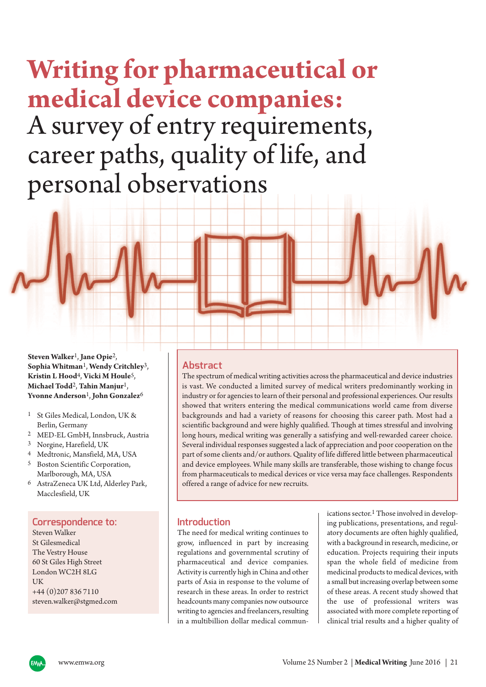# **Writing for pharmaceutical or medical device companies:**  A survey of entry requirements, career paths, quality of life, and personal observations

**Steven Walker**1, **Jane Opie**2, **Sophia Whitman**1, **Wendy Critchley**3, **Kristin L Hood**4, **Vicki M Houle**5, **Michael Todd**2, **Tahin Manjur**1, **Yvonne Anderson**1, **John Gonzalez**6

- 1 St Giles Medical, London, UK & Berlin, Germany
- 2 MED-EL GmbH, Innsbruck, Austria
- 3 Norgine, Harefield, UK
- 4 Medtronic, Mansfield, MA, USA
- 5 Boston Scientific Corporation, Marlborough, MA, USA
- 6 AstraZeneca UK Ltd, Alderley Park, Macclesfield, UK

# **Correspondence to:**

Steven Walker St Gilesmedical The Vestry House 60 St Giles High Street London WC2H 8LG UK +44 (0)207 836 7110 steven.walker@stgmed.com

# **Abstract**

The spectrum of medical writing activities across the pharmaceutical and device industries is vast. We conducted a limited survey of medical writers predominantly working in industry or for agencies to learn of their personal and professional experiences. Our results showed that writers entering the medical communications world came from diverse backgrounds and had a variety of reasons for choosing this career path. Most had a scientific background and were highly qualified. Though at times stressful and involving long hours, medical writing was generally a satisfying and well-rewarded career choice. Several individual responses suggested a lack of appreciation and poor cooperation on the part of some clients and/or authors. Quality of life differed little between pharmaceutical and device employees. While many skills are transferable, those wishing to change focus from pharma ceuticals to medical devices or vice versa may face challenges. Respondents offered a range of advice for new recruits.

# **Introduction**

The need for medical writing continues to grow, influenced in part by increasing regulations and governmental scrutiny of pharmaceutical and device companies. Activity is currently high in China and other parts of Asia in response to the volume of research in these areas. In order to restrict headcounts many companies now outsource writing to agencies and freelancers, resulting in a multibillion dollar medical communications sector.<sup>1</sup> Those involved in developing publications, presentations, and regulatory documents are often highly qualified, with a background in research, medicine, or education. Projects requiring their inputs span the whole field of medicine from medicinal products to medical devices, with a small but increasing overlap between some of these areas. A recent study showed that the use of professional writers was associated with more complete reporting of clinical trial results and a higher quality of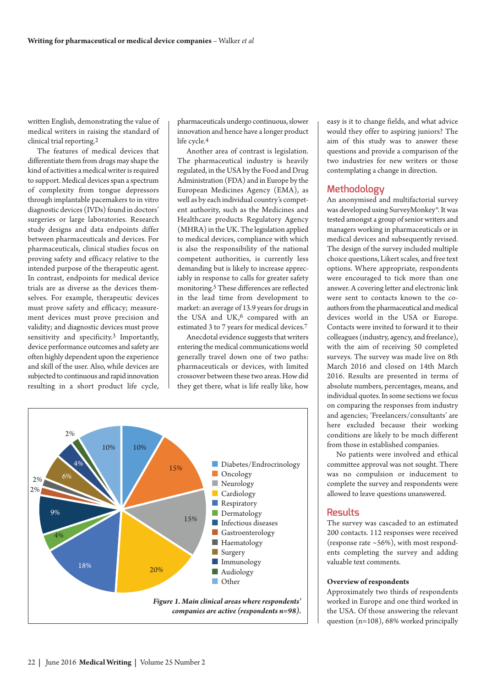written English, demonstrating the value of medical writers in raising the standard of clinical trial reporting.2

The features of medical devices that differentiate them from drugs may shape the kind of activities a medical writer is required to support. Medical devices span a spectrum of complexity from tongue depressors through implantable pacemakers to in vitro diagnostic devices (IVDs) found in doctors' surgeries or large laboratories. Research study designs and data endpoints differ between pharmaceuticals and devices. For pharmaceuticals, clinical studies focus on proving safety and efficacy relative to the intended purpose of the therapeutic agent. In contrast, endpoints for medical device trials are as diverse as the devices them selves. For example, therapeutic devices must prove safety and efficacy; measurement devices must prove precision and validity; and diagnostic devices must prove sensitivity and specificity.3 Importantly, device performance outcomes and safety are often highly dependent upon the experience and skill of the user. Also, while devices are subjected to continuous and rapid innovation resulting in a short product life cycle, pharmaceuticals undergo continuous, slower innovation and hence have a longer product life cycle.4

Another area of contrast is legislation. The pharmaceutical industry is heavily regulated, in the USA by the Food and Drug Administration (FDA) and in Europe by the European Medicines Agency (EMA), as well as by each individual country's competent authority, such as the Medicines and Healthcare products Regulatory Agency (MHRA) in the UK. The legislation applied to medical devices, compliance with which is also the responsibility of the national competent authorities, is currently less demanding but is likely to increase appreciably in response to calls for greater safety monitoring.<sup>5</sup> These differences are reflected in the lead time from development to market: an average of 13.9 years for drugs in the USA and UK,<sup>6</sup> compared with an estimated 3 to 7 years for medical devices.7

Anecdotal evidence suggests that writers entering the medical communications world generally travel down one of two paths: pharmaceuticals or devices, with limited crossover between these two areas. How did they get there, what is life really like, how



easy is it to change fields, and what advice would they offer to aspiring juniors? The aim of this study was to answer these questions and provide a comparison of the two industries for new writers or those contemplating a change in direction.

## **Methodology**

An anonymised and multifactorial survey was developed using SurveyMonkey®. It was tested amongst a group of senior writers and managers working in pharmaceuticals or in medical devices and subsequently revised. The design of the survey included multiple choice questions, Likert scales, and free text options. Where appropriate, respondents were encouraged to tick more than one answer. A covering letter and electronic link were sent to contacts known to the coauthors from the pharmaceutical and medical devices world in the USA or Europe. Contacts were invited to forward it to their colleagues (industry, agency, and freelance), with the aim of receiving 50 completed surveys. The survey was made live on 8th March 2016 and closed on 14th March 2016. Results are presented in terms of absolute numbers, percentages, means, and individual quotes. In some sections we focus on comparing the responses from industry and agencies; 'Freelancers/consultants' are here excluded because their working conditions are likely to be much different from those in established companies.

No patients were involved and ethical committee approval was not sought. There was no compulsion or inducement to complete the survey and respondents were allowed to leave questions unanswered.

## **Results**

The survey was cascaded to an estimated 200 contacts. 112 responses were received (response rate  $\sim$  56%), with most respondents completing the survey and adding valuable text comments.

#### **Overview of respondents**

Approximately two thirds of respondents worked in Europe and one third worked in the USA. Of those answering the relevant question (n=108), 68% worked principally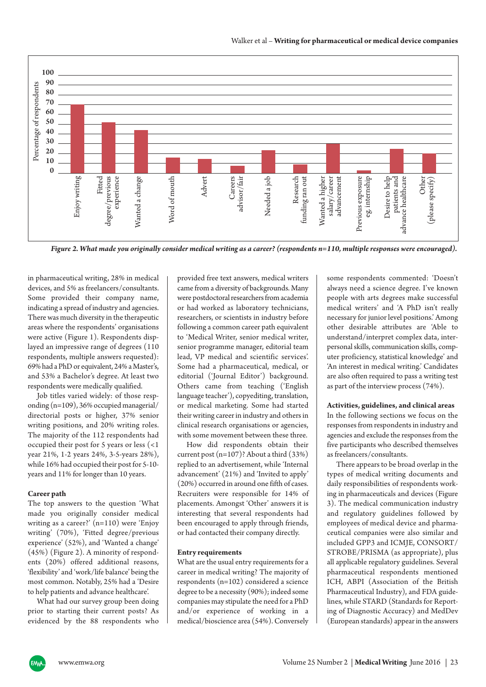

in pharmaceutical writing, 28% in medical devices, and 5% as freelancers/consultants. Some provided their company name, indicating a spread of industry and agencies. There was much diversity in the therapeutic areas where the respondents' organisations were active (Figure 1). Respondents displayed an impressive range of degrees (110 respondents, multiple answers requested): 69% had a PhD or equivalent, 24% a Master's, and 53% a Bachelor's degree. At least two respondents were medically qualified.

Job titles varied widely: of those responding (n=109), 36% occupied managerial/ directorial posts or higher, 37% senior writing positions, and 20% writing roles. The majority of the 112 respondents had occupied their post for 5 years or less (<1 year 21%, 1-2 years 24%, 3-5-years 28%), while 16% had occupied their post for 5-10 years and 11% for longer than 10 years.

#### **Career path**

The top answers to the question 'What made you originally consider medical writing as a career?' (n=110) were 'Enjoy writing' (70%), 'Fitted degree/previous experience' (52%), and 'Wanted a change'  $(45%)$  (Figure 2). A minority of respondents (20%) offered additional reasons, 'flexibility' and 'work/life balance' being the most common. Notably, 25% had a 'Desire to help patients and advance healthcare'.

What had our survey group been doing prior to starting their current posts? As evidenced by the 88 respondents who

provided free text answers, medical writers came from a diversity of backgrounds. Many were postdoctoral researchers from academia or had worked as laboratory technicians, researchers, or scientists in industry before following a common career path equivalent to 'Medical Writer, senior medical writer, senior programme manager, editorial team lead, VP medical and scientific services'. Some had a pharmaceutical, medical, or editorial ('Journal Editor') background. Others came from teaching ('English language teacher'), copyediting, translation, or medical marketing. Some had started their writing career in industry and others in clinical research organisations or agencies, with some movement between these three.

How did respondents obtain their current post  $(n=107)$ ? About a third  $(33%)$ replied to an advertisement, while 'Internal advancement' (21%) and 'Invited to apply' (20%) occurred in around one fifth of cases. Recruiters were responsible for 14% of placements. Amongst 'Other' answers it is interesting that several respondents had been encouraged to apply through friends, or had contacted their company directly.

## **Entry requirements**

What are the usual entry requirements for a career in medical writing? The majority of respondents (n=102) considered a science degree to be a necessity (90%); indeed some companies may stipulate the need for a PhD and/or experience of working in a medical/bioscience area (54%). Conversely

some respondents commented: 'Doesn't always need a science degree. I've known people with arts degrees make successful medical writers' and 'A PhD isn't really necessary for junior level positions.' Among other desirable attributes are 'Able to understand/interpret complex data, interpersonal skills, communication skills, computer proficiency, statistical knowledge' and 'An interest in medical writing.' Candidates are also often required to pass a writing test as part of the interview process (74%).

#### **Activities, guidelines, and clinical areas**

In the following sections we focus on the responses from respondents in industry and agencies and exclude the responses from the five participants who described themselves as freelancers/consultants.

There appears to be broad overlap in the types of medical writing documents and daily responsibilities of respondents working in pharmaceuticals and devices (Figure 3). The medical communication industry and regulatory guidelines followed by employees of medical device and pharmaceutical companies were also similar and included GPP3 and ICMJE, CONSORT/ STROBE/PRISMA (as appropriate), plus all applicable regulatory guidelines. Several pharmaceutical respondents mentioned ICH, ABPI (Association of the British Pharmaceutical Industry), and FDA guidelines, while STARD (Standards for Reporting of Diagnostic Accuracy) and MedDev (European standards) appear in the answers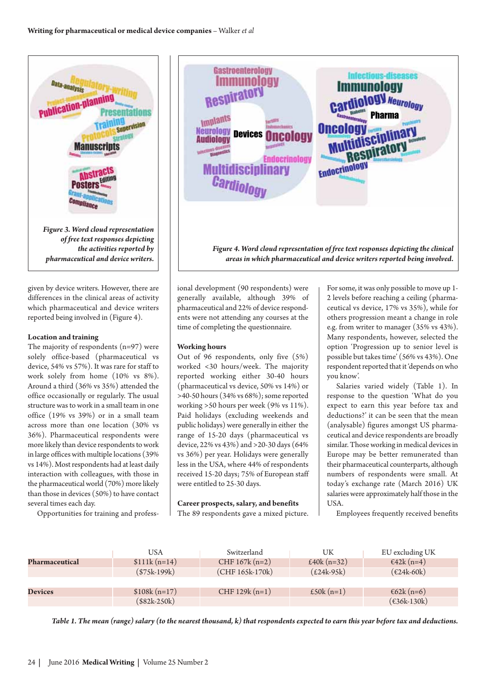

given by device writers. However, there are differences in the clinical areas of activity which pharmaceutical and device writers reported being involved in (Figure 4).

#### **Location and training**

The majority of respondents (n=97) were solely office-based (pharmaceutical vs device, 54% vs 57%). It was rare for staff to work solely from home (10% vs 8%). Around a third (36% vs 35%) attended the office occasionally or regularly. The usual structure was to work in a small team in one office (19% vs 39%) or in a small team across more than one location (30% vs 36%). Pharmaceutical respondents were more likely than device respondents to work in large offices with multiple locations (39% vs 14%). Most respondents had at least daily interaction with colleagues, with those in the pharmaceutical world (70%) more likely than those in devices (50%) to have contact several times each day.

Opportunities for training and profess -



ional development (90 respondents) were generally available, although 39% of pharmaceutical and 22% of device respondents were not attending any courses at the time of completing the questionnaire.

#### **Working hours**

Out of 96 respondents, only five (5%) worked <30 hours/week. The majority reported working either 30-40 hours (pharmaceutical vs device, 50% vs 14%) or >40-50 hours (34% vs 68%); some reported working >50 hours per week (9% vs 11%). Paid holidays (excluding weekends and public holidays) were generally in either the range of 15-20 days (pharmaceutical vs device, 22% vs 43%) and >20-30 days (64% vs 36%) per year. Holidays were generally less in the USA, where 44% of respondents received 15-20 days; 75% of European staff were entitled to 25-30 days.

**Career prospects, salary, and benefits**  The 89 respondents gave a mixed picture. For some, it was only possible to move up 1- 2 levels before reaching a ceiling (pharmaceutical vs device, 17% vs 35%), while for others progression meant a change in role e.g. from writer to manager (35% vs 43%). Many respondents, however, selected the option 'Progression up to senior level is possible but takes time' (56% vs 43%). One respondent reported that it 'depends on who you know'.

Salaries varied widely (Table 1). In response to the question 'What do you expect to earn this year before tax and deductions?' it can be seen that the mean (analysable) figures amongst US pharma ceutical and device respondents are broadly similar. Those working in medical devices in Europe may be better remunerated than their pharmaceutical counterparts, although numbers of respondents were small. At today's exchange rate (March 2016) UK salaries were approximately half those in the USA.

Employees frequently received benefits

|                       | USA            | Switzerland       | UK                        | EU excluding UK      |
|-----------------------|----------------|-------------------|---------------------------|----------------------|
| <b>Pharmaceutical</b> | $$111k(n=14)$  | CHF $167k(n=2)$   | £40 $k(n=32)$             | $\epsilon$ 42k (n=4) |
|                       | $(\$75k-199k)$ | $(CHF 165k-170k)$ | $(\text{\pounds}24k-95k)$ | $(624k-60k)$         |
|                       |                |                   |                           |                      |
| <b>Devices</b>        | $$108k(n=17)$  | $CHF 129k(n=1)$   | £50 $k(n=1)$              | $\epsilon$ 62k (n=6) |
|                       | $($2k-250k)$   |                   |                           | $(€36k-130k)$        |

*Table 1. The mean (range) salary (to the nearest thousand, k) that respondents expected to earn this year before tax and deductions.*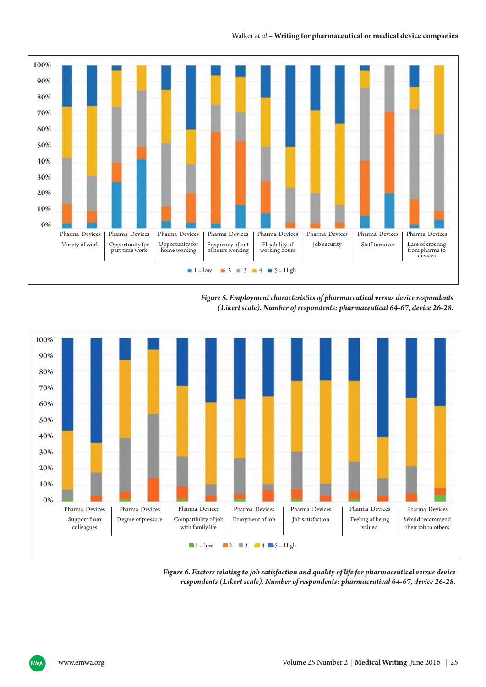

*Figure 5. Employment characteristics of pharmaceutical versus device respondents (Likert scale). Number of respondents: pharmaceutical 64-67, device 26-28.*



*Figure 6. Factors relating to job satisfaction and quality of life for pharmaceutical versus device respondents (Likert scale). Number of respondents: pharmaceutical 64-67, device 26-28.*

**EMMA**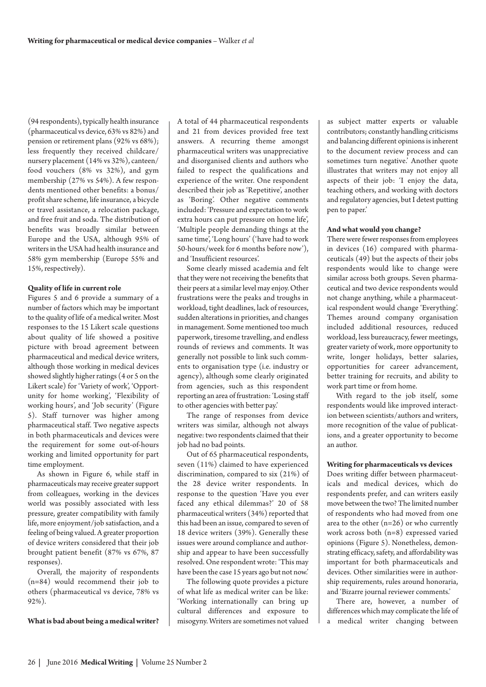(94 respondents), typically health insurance (pharmaceutical vs device, 63% vs 82%) and pension or retirement plans (92% vs 68%); less frequently they received childcare/ nursery placement (14% vs 32%), canteen/ food vouchers (8% vs 32%), and gym membership (27% vs 54%). A few respondents mentioned other benefits: a bonus/ profit share scheme, life insurance, a bicycle or travel assistance, a relocation package, and free fruit and soda. The distribution of benefits was broadly similar between Europe and the USA, although 95% of writers in the USA had health insurance and 58% gym membership (Europe 55% and 15%, respectively).

#### **Quality of life in current role**

Figures 5 and 6 provide a summary of a number of factors which may be important to the quality of life of a medical writer. Most responses to the 15 Likert scale questions about quality of life showed a positive picture with broad agreement between pharmaceutical and medical device writers, although those working in medical devices showed slightly higher ratings (4 or 5 on the Likert scale) for 'Variety of work', 'Opportunity for home working', 'Flexibility of working hours', and 'Job security' (Figure 5). Staff turnover was higher among pharmaceutical staff. Two negative aspects in both pharmaceuticals and devices were the requirement for some out-of-hours working and limited opportunity for part time employment.

As shown in Figure 6, while staff in pharmaceuticals may receive greater support from colleagues, working in the devices world was possibly associated with less pressure, greater compatibility with family life, more enjoyment/job satisfaction, and a feeling of being valued. A greater proportion of device writers considered that their job brought patient benefit (87% vs 67%, 87 responses).

Overall, the majority of respondents (n=84) would recommend their job to others (pharmaceutical vs device, 78% vs 92%).

#### **What is bad about being a medical writer?**

A total of 44 pharmaceutical respondents and 21 from devices provided free text answers. A recurring theme amongst pharmaceutical writers was unappreciative and disorganised clients and authors who failed to respect the qualifications and experience of the writer. One respondent described their job as 'Repetitive', another as 'Boring'. Other negative comments included: 'Pressure and expectation to work extra hours can put pressure on home life', 'Multiple people demanding things at the same time', 'Long hours' ('have had to work 50-hours/week for 6 months before now'), and 'Insufficient resources'.

Some clearly missed academia and felt that they were not receiving the benefits that their peers at a similar level may enjoy. Other frustrations were the peaks and troughs in workload, tight deadlines, lack of resources, sudden alterations in priorities, and changes in management. Some mentioned too much paperwork, tiresome travelling, and endless rounds of reviews and comments. It was generally not possible to link such comments to organisation type (i.e. industry or agency), although some clearly originated from agencies, such as this respondent reporting an area of frustration: 'Losing staff to other agencies with better pay.'

The range of responses from device writers was similar, although not always negative: two respondents claimed that their job had no bad points.

Out of 65 pharmaceutical respondents, seven (11%) claimed to have experienced discrimination, compared to six (21%) of the 28 device writer respondents. In response to the question 'Have you ever faced any ethical dilemmas?' 20 of 58 pharmaceutical writers (34%) reported that this had been an issue, compared to seven of 18 device writers (39%). Generally these issues were around compliance and authorship and appear to have been successfully resolved. One respondent wrote: 'This may have been the case 15 years ago but not now.'

The following quote provides a picture of what life as medical writer can be like: 'Working internationally can bring up cultural differences and exposure to misogyny. Writers are sometimes not valued as subject matter experts or valuable contributors; constantly handling criticisms and balancing different opinions is inherent to the document review process and can sometimes turn negative.' Another quote illustrates that writers may not enjoy all aspects of their job: 'I enjoy the data, teaching others, and working with doctors and regulatory agencies, but I detest putting pen to paper.'

#### **And what would you change?**

There were fewer responses from employees in devices  $(16)$  compared with pharmaceuticals (49) but the aspects of their jobs respondents would like to change were similar across both groups. Seven pharmaceutical and two device respondents would not change anything, while a pharmaceutical respondent would change 'Everything'. Themes around company organisation included additional resources, reduced workload, less bureaucracy, fewer meetings, greater variety of work, more opportunity to write, longer holidays, better salaries, opportunities for career advancement, better training for recruits, and ability to work part time or from home.

With regard to the job itself, some respondents would like improved interaction between scientists/authors and writers, more recognition of the value of publications, and a greater opportunity to become an author.

#### **Writing for pharmaceuticals vs devices**

Does writing differ between pharmaceuticals and medical devices, which do respondents prefer, and can writers easily move between the two? The limited number of respondents who had moved from one area to the other (n=26) or who currently work across both (n=8) expressed varied opinions (Figure 5). Nonetheless, demonstrating efficacy, safety, and affordability was important for both pharmaceuticals and devices. Other similarities were in authorship requirements, rules around honoraria, and 'Bizarre journal reviewer comments.'

There are, however, a number of differences which may complicate the life of a medical writer changing between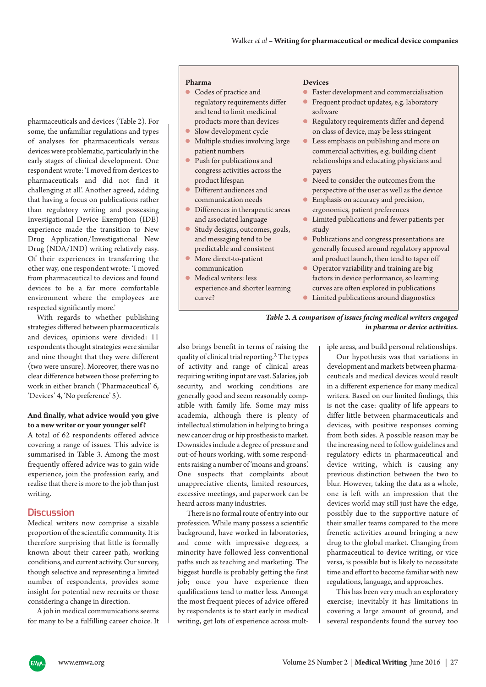pharmaceuticals and devices (Table 2). For some, the unfamiliar regulations and types of analyses for pharmaceuticals versus devices were problematic, particularly in the early stages of clinical development. One respondent wrote: 'I moved from devices to pharmaceuticals and did not find it challenging at all'. Another agreed, adding that having a focus on publications rather than regulatory writing and possessing Investigational Device Exemption (IDE) experience made the transition to New Drug Application/Investigational New Drug (NDA/IND) writing relatively easy. Of their experiences in transferring the other way, one respondent wrote: 'I moved from pharmaceutical to devices and found devices to be a far more comfortable environment where the employees are respected significantly more.'

With regards to whether publishing strategies differed between pharmaceuticals and devices, opinions were divided: 11 respondents thought strategies were similar and nine thought that they were different (two were unsure). Moreover, there was no clear difference between those preferring to work in either branch ('Pharmaceutical' 6, 'Devices' 4, 'No preference' 5).

## **And finally, what advice would you give to a new writer or your younger self?**

A total of 62 respondents offered advice covering a range of issues. This advice is summarised in Table 3. Among the most frequently offered advice was to gain wide experience, join the profession early, and realise that there is more to the job than just writing.

## **Discussion**

Medical writers now comprise a sizable proportion of the scientific community. It is therefore surprising that little is formally known about their career path, working conditions, and current activity. Our survey, though selective and representing a limited number of respondents, provides some insight for potential new recruits or those considering a change in direction.

A job in medical communications seems for many to be a fulfilling career choice. It

#### **Pharma**

- Codes of practice and regulatory requirements differ and tend to limit medicinal products more than devices
- Slow development cycle
- Multiple studies involving large patient numbers ● Push for publications and
- congress activities across the product lifespan
- Different audiences and communication needs
- Differences in therapeutic areas and associated language
- Study designs, outcomes, goals, and messaging tend to be predictable and consistent
- More direct-to-patient communication
- Medical writers: less experience and shorter learning curve?

#### **Devices**

- Faster development and commercialisation
- Frequent product updates, e.g. laboratory software
- Regulatory requirements differ and depend on class of device, may be less stringent
- Less emphasis on publishing and more on commercial activities, e.g. building client relationships and educating physicians and payers
- Need to consider the outcomes from the perspective of the user as well as the device
- Emphasis on accuracy and precision, ergonomics, patient preferences
- Limited publications and fewer patients per study
- Publications and congress presentations are generally focused around regulatory approval and product launch, then tend to taper off
- Operator variability and training are big factors in device performance, so learning curves are often explored in publications
- Limited publications around diagnostics

## *Table 2. A comparison of issues facing medical writers engaged in pharma or device activities.*

also brings benefit in terms of raising the quality of clinical trial reporting.2The types of activity and range of clinical areas requiring writing input are vast. Salaries, job security, and working conditions are generally good and seem reasonably compatible with family life. Some may miss academia, although there is plenty of intellectual stimulation in helping to bring a new cancer drug or hip prosthesis to market. Downsides include a degree of pressure and out-of-hours working, with some respondents raising a number of 'moans and groans'. One suspects that complaints about unappreciative clients, limited resources, excessive meetings, and paperwork can be heard across many industries.

There is no formal route of entry into our profession. While many possess a scientific background, have worked in laboratories, and come with impressive degrees, a minority have followed less conventional paths such as teaching and marketing. The biggest hurdle is probably getting the first job; once you have experience then qualifications tend to matter less. Amongst the most frequent pieces of advice offered by respondents is to start early in medical writing, get lots of experience across multiple areas, and build personal relationships.

Our hypothesis was that variations in development and markets between pharmaceuticals and medical devices would result in a different experience for many medical writers. Based on our limited findings, this is not the case: quality of life appears to differ little between pharmaceuticals and devices, with positive responses coming from both sides. A possible reason may be the increasing need to follow guidelines and regulatory edicts in pharmaceutical and device writing, which is causing any previous distinction between the two to blur. However, taking the data as a whole, one is left with an impression that the devices world may still just have the edge, possibly due to the supportive nature of their smaller teams compared to the more frenetic activities around bringing a new drug to the global market. Changing from pharmaceutical to device writing, or vice versa, is possible but is likely to necessitate time and effort to become familiar with new regulations, language, and approaches.

This has been very much an exploratory exercise; inevitably it has limitations in covering a large amount of ground, and several respondents found the survey too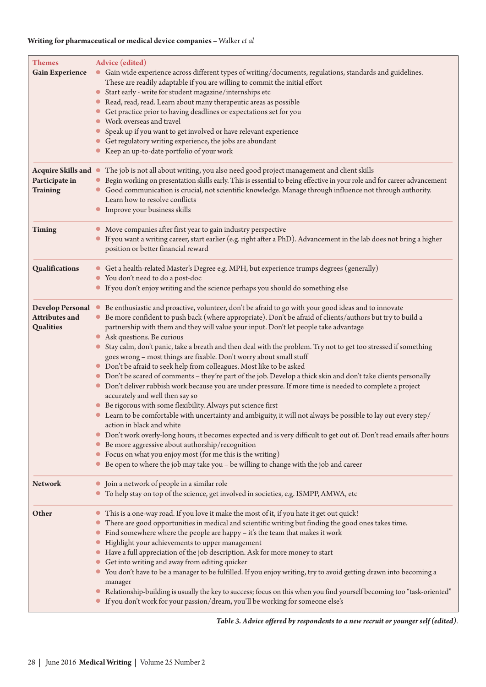## **Writing for pharmaceutical or medical device companies** – Walker *et al*

| <b>Themes</b><br><b>Gain Experience</b>                       | Advice (edited)<br>Gain wide experience across different types of writing/documents, regulations, standards and guidelines.<br>$\bullet$<br>These are readily adaptable if you are willing to commit the initial effort<br>Start early - write for student magazine/internships etc<br>$\bullet$<br>Read, read, read. Learn about many therapeutic areas as possible<br>$\bullet$<br>Get practice prior to having deadlines or expectations set for you<br>Work overseas and travel<br>$\bullet$<br>Speak up if you want to get involved or have relevant experience<br>Get regulatory writing experience, the jobs are abundant<br>Keep an up-to-date portfolio of your work                                                                                                                                                                                                                                                                                                                                                                                                                                                                                                                                                                                                                                                                                                                                                                       |  |  |
|---------------------------------------------------------------|-----------------------------------------------------------------------------------------------------------------------------------------------------------------------------------------------------------------------------------------------------------------------------------------------------------------------------------------------------------------------------------------------------------------------------------------------------------------------------------------------------------------------------------------------------------------------------------------------------------------------------------------------------------------------------------------------------------------------------------------------------------------------------------------------------------------------------------------------------------------------------------------------------------------------------------------------------------------------------------------------------------------------------------------------------------------------------------------------------------------------------------------------------------------------------------------------------------------------------------------------------------------------------------------------------------------------------------------------------------------------------------------------------------------------------------------------------|--|--|
| Acquire Skills and<br>Participate in<br><b>Training</b>       | The job is not all about writing, you also need good project management and client skills<br>Begin working on presentation skills early. This is essential to being effective in your role and for career advancement<br>$\bullet$<br>Good communication is crucial, not scientific knowledge. Manage through influence not through authority.<br>$\bullet$<br>Learn how to resolve conflicts<br>Improve your business skills<br>$\bullet$                                                                                                                                                                                                                                                                                                                                                                                                                                                                                                                                                                                                                                                                                                                                                                                                                                                                                                                                                                                                          |  |  |
| <b>Timing</b>                                                 | Move companies after first year to gain industry perspective<br>If you want a writing career, start earlier (e.g. right after a PhD). Advancement in the lab does not bring a higher<br>position or better financial reward                                                                                                                                                                                                                                                                                                                                                                                                                                                                                                                                                                                                                                                                                                                                                                                                                                                                                                                                                                                                                                                                                                                                                                                                                         |  |  |
| Qualifications                                                | Get a health-related Master's Degree e.g. MPH, but experience trumps degrees (generally)<br>You don't need to do a post-doc<br>If you don't enjoy writing and the science perhaps you should do something else                                                                                                                                                                                                                                                                                                                                                                                                                                                                                                                                                                                                                                                                                                                                                                                                                                                                                                                                                                                                                                                                                                                                                                                                                                      |  |  |
| <b>Develop Personal</b><br><b>Attributes and</b><br>Qualities | Be enthusiastic and proactive, volunteer, don't be afraid to go with your good ideas and to innovate<br>$\bullet$<br>Be more confident to push back (where appropriate). Don't be afraid of clients/authors but try to build a<br>$\bullet$<br>partnership with them and they will value your input. Don't let people take advantage<br>• Ask questions. Be curious<br>Stay calm, don't panic, take a breath and then deal with the problem. Try not to get too stressed if something<br>goes wrong - most things are fixable. Don't worry about small stuff<br>• Don't be afraid to seek help from colleagues. Most like to be asked<br>Don't be scared of comments - they're part of the job. Develop a thick skin and don't take clients personally<br>Don't deliver rubbish work because you are under pressure. If more time is needed to complete a project<br>accurately and well then say so<br>Be rigorous with some flexibility. Always put science first<br>• Learn to be comfortable with uncertainty and ambiguity, it will not always be possible to lay out every step/<br>action in black and white<br>Don't work overly-long hours, it becomes expected and is very difficult to get out of. Don't read emails after hours<br>Be more aggressive about authorship/recognition<br>Focus on what you enjoy most (for me this is the writing)<br>Be open to where the job may take you - be willing to change with the job and career |  |  |
| <b>Network</b>                                                | Join a network of people in a similar role<br>To help stay on top of the science, get involved in societies, e.g. ISMPP, AMWA, etc                                                                                                                                                                                                                                                                                                                                                                                                                                                                                                                                                                                                                                                                                                                                                                                                                                                                                                                                                                                                                                                                                                                                                                                                                                                                                                                  |  |  |
| Other                                                         | This is a one-way road. If you love it make the most of it, if you hate it get out quick!<br>There are good opportunities in medical and scientific writing but finding the good ones takes time.<br>Find somewhere where the people are happy - it's the team that makes it work<br>Highlight your achievements to upper management<br>$\bullet$<br>Have a full appreciation of the job description. Ask for more money to start<br>Get into writing and away from editing quicker<br>You don't have to be a manager to be fulfilled. If you enjoy writing, try to avoid getting drawn into becoming a<br>manager<br>Relationship-building is usually the key to success; focus on this when you find yourself becoming too "task-oriented"<br>If you don't work for your passion/dream, you'll be working for someone else's                                                                                                                                                                                                                                                                                                                                                                                                                                                                                                                                                                                                                      |  |  |

*Table 3. Advice offered by respondents to a new recruit or younger self (edited)*.